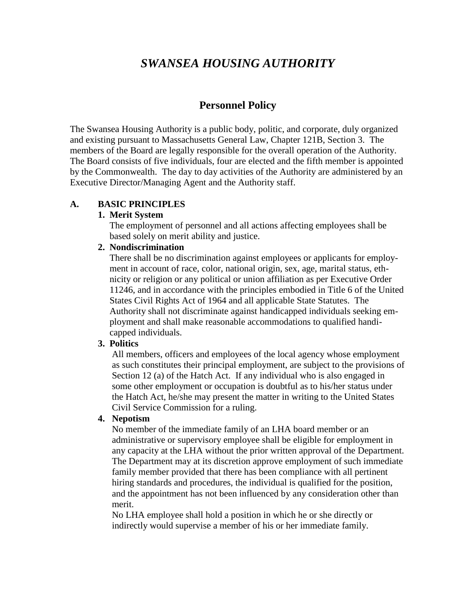# *SWANSEA HOUSING AUTHORITY*

# **Personnel Policy**

The Swansea Housing Authority is a public body, politic, and corporate, duly organized and existing pursuant to Massachusetts General Law, Chapter 121B, Section 3. The members of the Board are legally responsible for the overall operation of the Authority. The Board consists of five individuals, four are elected and the fifth member is appointed by the Commonwealth. The day to day activities of the Authority are administered by an Executive Director/Managing Agent and the Authority staff.

#### **A. BASIC PRINCIPLES**

#### **1. Merit System**

The employment of personnel and all actions affecting employees shall be based solely on merit ability and justice.

#### **2. Nondiscrimination**

 There shall be no discrimination against employees or applicants for employ ment in account of race, color, national origin, sex, age, marital status, eth nicity or religion or any political or union affiliation as per Executive Order 11246, and in accordance with the principles embodied in Title 6 of the United States Civil Rights Act of 1964 and all applicable State Statutes. The Authority shall not discriminate against handicapped individuals seeking employment and shall make reasonable accommodations to qualified handicapped individuals.

#### **3. Politics**

All members, officers and employees of the local agency whose employment as such constitutes their principal employment, are subject to the provisions of Section 12 (a) of the Hatch Act. If any individual who is also engaged in some other employment or occupation is doubtful as to his/her status under the Hatch Act, he/she may present the matter in writing to the United States Civil Service Commission for a ruling.

#### **4. Nepotism**

No member of the immediate family of an LHA board member or an administrative or supervisory employee shall be eligible for employment in any capacity at the LHA without the prior written approval of the Department. The Department may at its discretion approve employment of such immediate family member provided that there has been compliance with all pertinent hiring standards and procedures, the individual is qualified for the position, and the appointment has not been influenced by any consideration other than merit.

No LHA employee shall hold a position in which he or she directly or indirectly would supervise a member of his or her immediate family.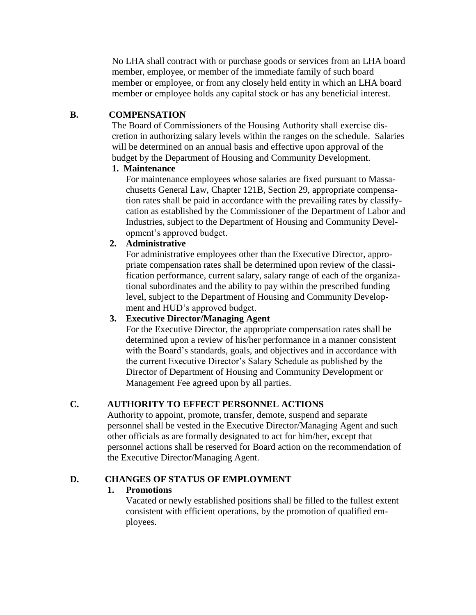No LHA shall contract with or purchase goods or services from an LHA board member, employee, or member of the immediate family of such board member or employee, or from any closely held entity in which an LHA board member or employee holds any capital stock or has any beneficial interest.

#### **B. COMPENSATION**

The Board of Commissioners of the Housing Authority shall exercise dis cretion in authorizing salary levels within the ranges on the schedule. Salaries will be determined on an annual basis and effective upon approval of the budget by the Department of Housing and Community Development.

#### **1. Maintenance**

For maintenance employees whose salaries are fixed pursuant to Massa chusetts General Law, Chapter 121B, Section 29, appropriate compensa tion rates shall be paid in accordance with the prevailing rates by classifycation as established by the Commissioner of the Department of Labor and Industries, subject to the Department of Housing and Community Development's approved budget.

#### **2. Administrative**

For administrative employees other than the Executive Director, appropriate compensation rates shall be determined upon review of the classification performance, current salary, salary range of each of the organizational subordinates and the ability to pay within the prescribed funding level, subject to the Department of Housing and Community Development and HUD's approved budget.

# **3. Executive Director/Managing Agent**

For the Executive Director, the appropriate compensation rates shall be determined upon a review of his/her performance in a manner consistent with the Board's standards, goals, and objectives and in accordance with the current Executive Director's Salary Schedule as published by the Director of Department of Housing and Community Development or Management Fee agreed upon by all parties.

#### **C. AUTHORITY TO EFFECT PERSONNEL ACTIONS**

Authority to appoint, promote, transfer, demote, suspend and separate personnel shall be vested in the Executive Director/Managing Agent and such other officials as are formally designated to act for him/her, except that personnel actions shall be reserved for Board action on the recommendation of the Executive Director/Managing Agent.

#### **D. CHANGES OF STATUS OF EMPLOYMENT**

#### **1. Promotions**

Vacated or newly established positions shall be filled to the fullest extent consistent with efficient operations, by the promotion of qualified employees.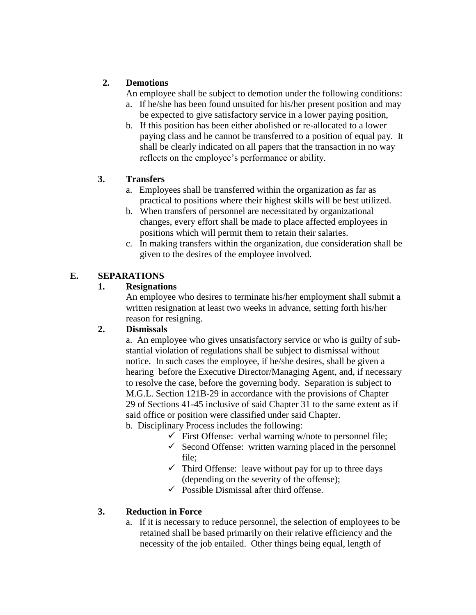# **2. Demotions**

An employee shall be subject to demotion under the following conditions:

- a. If he/she has been found unsuited for his/her present position and may be expected to give satisfactory service in a lower paying position,
- b. If this position has been either abolished or re-allocated to a lower paying class and he cannot be transferred to a position of equal pay. It shall be clearly indicated on all papers that the transaction in no way reflects on the employee's performance or ability.

#### **3. Transfers**

- a. Employees shall be transferred within the organization as far as practical to positions where their highest skills will be best utilized.
- b. When transfers of personnel are necessitated by organizational changes, every effort shall be made to place affected employees in positions which will permit them to retain their salaries.
- c. In making transfers within the organization, due consideration shall be given to the desires of the employee involved.

## **E. SEPARATIONS**

#### **1. Resignations**

An employee who desires to terminate his/her employment shall submit a written resignation at least two weeks in advance, setting forth his/her reason for resigning.

#### **2. Dismissals**

a. An employee who gives unsatisfactory service or who is guilty of substantial violation of regulations shall be subject to dismissal without notice. In such cases the employee, if he/she desires, shall be given a hearing before the Executive Director/Managing Agent, and, if necessary to resolve the case, before the governing body. Separation is subject to M.G.L. Section 121B-29 in accordance with the provisions of Chapter 29 of Sections 41-45 inclusive of said Chapter 31 to the same extent as if said office or position were classified under said Chapter.

b. Disciplinary Process includes the following:

- $\checkmark$  First Offense: verbal warning w/note to personnel file;
- $\checkmark$  Second Offense: written warning placed in the personnel file;
- $\checkmark$  Third Offense: leave without pay for up to three days (depending on the severity of the offense);
- $\checkmark$  Possible Dismissal after third offense.

#### **3. Reduction in Force**

a. If it is necessary to reduce personnel, the selection of employees to be retained shall be based primarily on their relative efficiency and the necessity of the job entailed. Other things being equal, length of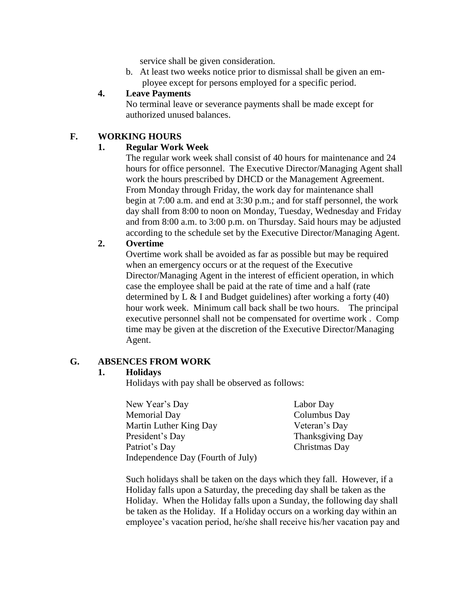service shall be given consideration.

b. At least two weeks notice prior to dismissal shall be given an em ployee except for persons employed for a specific period.

#### **4. Leave Payments**

No terminal leave or severance payments shall be made except for authorized unused balances.

## **F. WORKING HOURS**

#### **1. Regular Work Week**

The regular work week shall consist of 40 hours for maintenance and 24 hours for office personnel. The Executive Director/Managing Agent shall work the hours prescribed by DHCD or the Management Agreement. From Monday through Friday, the work day for maintenance shall begin at 7:00 a.m. and end at 3:30 p.m.; and for staff personnel, the work day shall from 8:00 to noon on Monday, Tuesday, Wednesday and Friday and from 8:00 a.m. to 3:00 p.m. on Thursday. Said hours may be adjusted according to the schedule set by the Executive Director/Managing Agent.

#### **2. Overtime**

Overtime work shall be avoided as far as possible but may be required when an emergency occurs or at the request of the Executive Director/Managing Agent in the interest of efficient operation, in which case the employee shall be paid at the rate of time and a half (rate determined by L & I and Budget guidelines) after working a forty (40) hour work week. Minimum call back shall be two hours. The principal executive personnel shall not be compensated for overtime work . Comp time may be given at the discretion of the Executive Director/Managing Agent.

#### **G. ABSENCES FROM WORK**

#### **1. Holidays**

Holidays with pay shall be observed as follows:

| New Year's Day                    |
|-----------------------------------|
| <b>Memorial Day</b>               |
| Martin Luther King Day            |
| President's Day                   |
| Patriot's Day                     |
| Independence Day (Fourth of July) |

Labor Day Columbus Day Veteran's Day Thanksgiving Day Christmas Day

Such holidays shall be taken on the days which they fall. However, if a Holiday falls upon a Saturday, the preceding day shall be taken as the Holiday. When the Holiday falls upon a Sunday, the following day shall be taken as the Holiday. If a Holiday occurs on a working day within an employee's vacation period, he/she shall receive his/her vacation pay and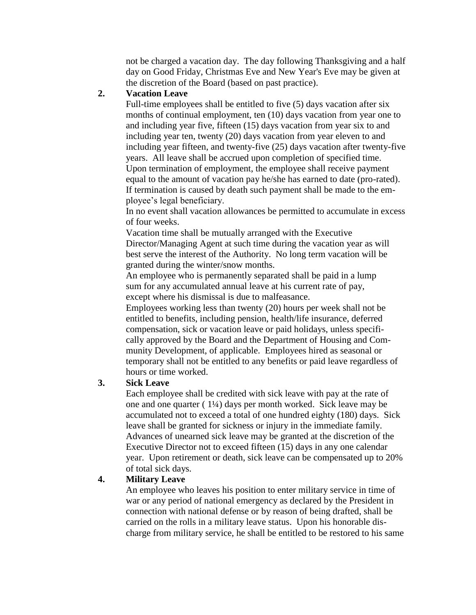not be charged a vacation day. The day following Thanksgiving and a half day on Good Friday, Christmas Eve and New Year's Eve may be given at the discretion of the Board (based on past practice).

#### **2. Vacation Leave**

Full-time employees shall be entitled to five (5) days vacation after six months of continual employment, ten (10) days vacation from year one to and including year five, fifteen (15) days vacation from year six to and including year ten, twenty (20) days vacation from year eleven to and including year fifteen, and twenty-five (25) days vacation after twenty-five years. All leave shall be accrued upon completion of specified time. Upon termination of employment, the employee shall receive payment equal to the amount of vacation pay he/she has earned to date (pro-rated). If termination is caused by death such payment shall be made to the employee's legal beneficiary.

In no event shall vacation allowances be permitted to accumulate in excess of four weeks.

Vacation time shall be mutually arranged with the Executive Director/Managing Agent at such time during the vacation year as will best serve the interest of the Authority. No long term vacation will be granted during the winter/snow months.

An employee who is permanently separated shall be paid in a lump sum for any accumulated annual leave at his current rate of pay, except where his dismissal is due to malfeasance.

Employees working less than twenty (20) hours per week shall not be entitled to benefits, including pension, health/life insurance, deferred compensation, sick or vacation leave or paid holidays, unless specifically approved by the Board and the Department of Housing and Community Development, of applicable. Employees hired as seasonal or temporary shall not be entitled to any benefits or paid leave regardless of hours or time worked.

#### **3. Sick Leave**

Each employee shall be credited with sick leave with pay at the rate of one and one quarter ( 1¼) days per month worked. Sick leave may be accumulated not to exceed a total of one hundred eighty (180) days. Sick leave shall be granted for sickness or injury in the immediate family. Advances of unearned sick leave may be granted at the discretion of the Executive Director not to exceed fifteen (15) days in any one calendar year. Upon retirement or death, sick leave can be compensated up to 20% of total sick days.

#### **4. Military Leave**

An employee who leaves his position to enter military service in time of war or any period of national emergency as declared by the President in connection with national defense or by reason of being drafted, shall be carried on the rolls in a military leave status. Upon his honorable discharge from military service, he shall be entitled to be restored to his same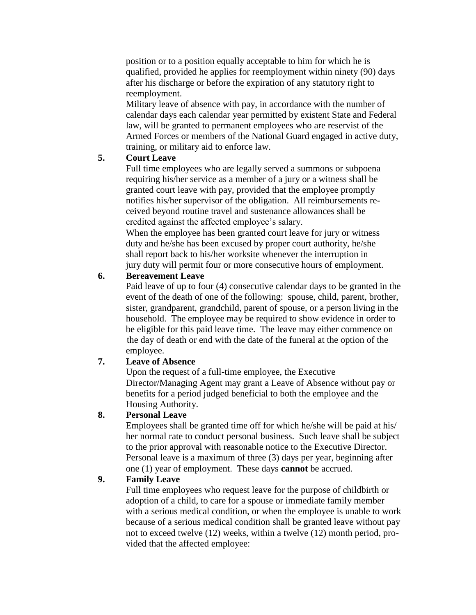position or to a position equally acceptable to him for which he is qualified, provided he applies for reemployment within ninety (90) days after his discharge or before the expiration of any statutory right to reemployment.

Military leave of absence with pay, in accordance with the number of calendar days each calendar year permitted by existent State and Federal law, will be granted to permanent employees who are reservist of the Armed Forces or members of the National Guard engaged in active duty, training, or military aid to enforce law.

#### **5. Court Leave**

Full time employees who are legally served a summons or subpoena requiring his/her service as a member of a jury or a witness shall be granted court leave with pay, provided that the employee promptly notifies his/her supervisor of the obligation. All reimbursements received beyond routine travel and sustenance allowances shall be credited against the affected employee's salary.

When the employee has been granted court leave for jury or witness duty and he/she has been excused by proper court authority, he/she shall report back to his/her worksite whenever the interruption in jury duty will permit four or more consecutive hours of employment.

#### **6. Bereavement Leave**

Paid leave of up to four (4) consecutive calendar days to be granted in the event of the death of one of the following: spouse, child, parent, brother, sister, grandparent, grandchild, parent of spouse, or a person living in the household. The employee may be required to show evidence in order to be eligible for this paid leave time. The leave may either commence on the day of death or end with the date of the funeral at the option of the employee.

#### **7. Leave of Absence**

Upon the request of a full-time employee, the Executive Director/Managing Agent may grant a Leave of Absence without pay or benefits for a period judged beneficial to both the employee and the Housing Authority.

#### **8. Personal Leave**

Employees shall be granted time off for which he/she will be paid at his/ her normal rate to conduct personal business. Such leave shall be subject to the prior approval with reasonable notice to the Executive Director. Personal leave is a maximum of three (3) days per year, beginning after one (1) year of employment. These days **cannot** be accrued.

#### **9. Family Leave**

Full time employees who request leave for the purpose of childbirth or adoption of a child, to care for a spouse or immediate family member with a serious medical condition, or when the employee is unable to work because of a serious medical condition shall be granted leave without pay not to exceed twelve (12) weeks, within a twelve (12) month period, provided that the affected employee: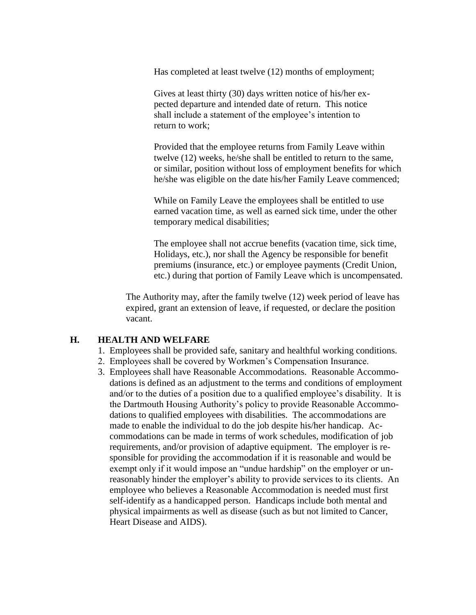Has completed at least twelve (12) months of employment;

Gives at least thirty (30) days written notice of his/her expected departure and intended date of return. This notice shall include a statement of the employee's intention to return to work;

Provided that the employee returns from Family Leave within twelve (12) weeks, he/she shall be entitled to return to the same, or similar, position without loss of employment benefits for which he/she was eligible on the date his/her Family Leave commenced;

While on Family Leave the employees shall be entitled to use earned vacation time, as well as earned sick time, under the other temporary medical disabilities;

The employee shall not accrue benefits (vacation time, sick time, Holidays, etc.), nor shall the Agency be responsible for benefit premiums (insurance, etc.) or employee payments (Credit Union, etc.) during that portion of Family Leave which is uncompensated.

The Authority may, after the family twelve (12) week period of leave has expired, grant an extension of leave, if requested, or declare the position vacant.

#### **H. HEALTH AND WELFARE**

- 1. Employees shall be provided safe, sanitary and healthful working conditions.
- 2. Employees shall be covered by Workmen's Compensation Insurance.
- 3. Employees shall have Reasonable Accommodations. Reasonable Accommo dations is defined as an adjustment to the terms and conditions of employment and/or to the duties of a position due to a qualified employee's disability. It is the Dartmouth Housing Authority's policy to provide Reasonable Accommo dations to qualified employees with disabilities. The accommodations are made to enable the individual to do the job despite his/her handicap. Ac commodations can be made in terms of work schedules, modification of job requirements, and/or provision of adaptive equipment. The employer is re sponsible for providing the accommodation if it is reasonable and would be exempt only if it would impose an "undue hardship" on the employer or un reasonably hinder the employer's ability to provide services to its clients. An employee who believes a Reasonable Accommodation is needed must first self-identify as a handicapped person. Handicaps include both mental and physical impairments as well as disease (such as but not limited to Cancer, Heart Disease and AIDS).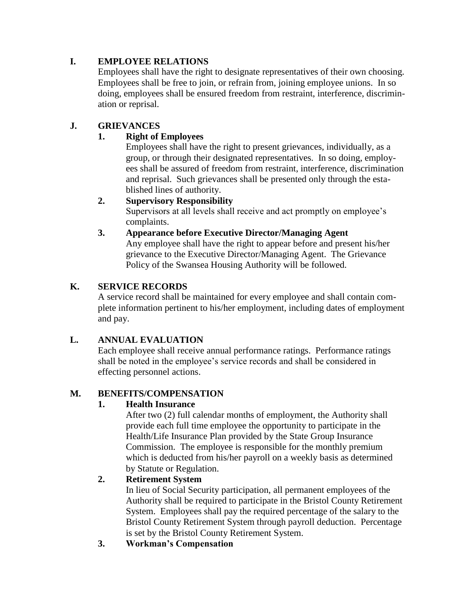# **I. EMPLOYEE RELATIONS**

Employees shall have the right to designate representatives of their own choosing. Employees shall be free to join, or refrain from, joining employee unions. In so doing, employees shall be ensured freedom from restraint, interference, discrimination or reprisal.

# **J. GRIEVANCES**

#### **1. Right of Employees**

Employees shall have the right to present grievances, individually, as a group, or through their designated representatives. In so doing, employees shall be assured of freedom from restraint, interference, discrimination and reprisal. Such grievances shall be presented only through the established lines of authority.

#### **2. Supervisory Responsibility**

Supervisors at all levels shall receive and act promptly on employee's complaints.

#### **3. Appearance before Executive Director/Managing Agent**

Any employee shall have the right to appear before and present his/her grievance to the Executive Director/Managing Agent. The Grievance Policy of the Swansea Housing Authority will be followed.

#### **K. SERVICE RECORDS**

A service record shall be maintained for every employee and shall contain complete information pertinent to his/her employment, including dates of employment and pay.

#### **L. ANNUAL EVALUATION**

Each employee shall receive annual performance ratings. Performance ratings shall be noted in the employee's service records and shall be considered in effecting personnel actions.

#### **M. BENEFITS/COMPENSATION**

#### **1. Health Insurance**

After two (2) full calendar months of employment, the Authority shall provide each full time employee the opportunity to participate in the Health/Life Insurance Plan provided by the State Group Insurance Commission. The employee is responsible for the monthly premium which is deducted from his/her payroll on a weekly basis as determined by Statute or Regulation.

#### **2. Retirement System**

In lieu of Social Security participation, all permanent employees of the Authority shall be required to participate in the Bristol County Retirement System. Employees shall pay the required percentage of the salary to the Bristol County Retirement System through payroll deduction. Percentage is set by the Bristol County Retirement System.

#### **3. Workman's Compensation**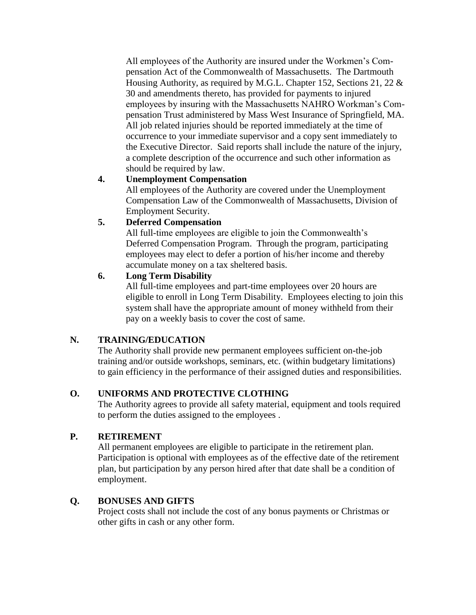All employees of the Authority are insured under the Workmen's Compensation Act of the Commonwealth of Massachusetts. The Dartmouth Housing Authority, as required by M.G.L. Chapter 152, Sections 21, 22 & 30 and amendments thereto, has provided for payments to injured employees by insuring with the Massachusetts NAHRO Workman's Compensation Trust administered by Mass West Insurance of Springfield, MA. All job related injuries should be reported immediately at the time of occurrence to your immediate supervisor and a copy sent immediately to the Executive Director. Said reports shall include the nature of the injury, a complete description of the occurrence and such other information as should be required by law.

#### **4. Unemployment Compensation**

All employees of the Authority are covered under the Unemployment Compensation Law of the Commonwealth of Massachusetts, Division of Employment Security.

# **5. Deferred Compensation**

All full-time employees are eligible to join the Commonwealth's Deferred Compensation Program. Through the program, participating employees may elect to defer a portion of his/her income and thereby accumulate money on a tax sheltered basis.

#### **6. Long Term Disability**

All full-time employees and part-time employees over 20 hours are eligible to enroll in Long Term Disability. Employees electing to join this system shall have the appropriate amount of money withheld from their pay on a weekly basis to cover the cost of same.

# **N. TRAINING/EDUCATION**

The Authority shall provide new permanent employees sufficient on-the-job training and/or outside workshops, seminars, etc. (within budgetary limitations) to gain efficiency in the performance of their assigned duties and responsibilities.

# **O. UNIFORMS AND PROTECTIVE CLOTHING**

The Authority agrees to provide all safety material, equipment and tools required to perform the duties assigned to the employees .

# **P. RETIREMENT**

All permanent employees are eligible to participate in the retirement plan. Participation is optional with employees as of the effective date of the retirement plan, but participation by any person hired after that date shall be a condition of employment.

# **Q. BONUSES AND GIFTS**

Project costs shall not include the cost of any bonus payments or Christmas or other gifts in cash or any other form.